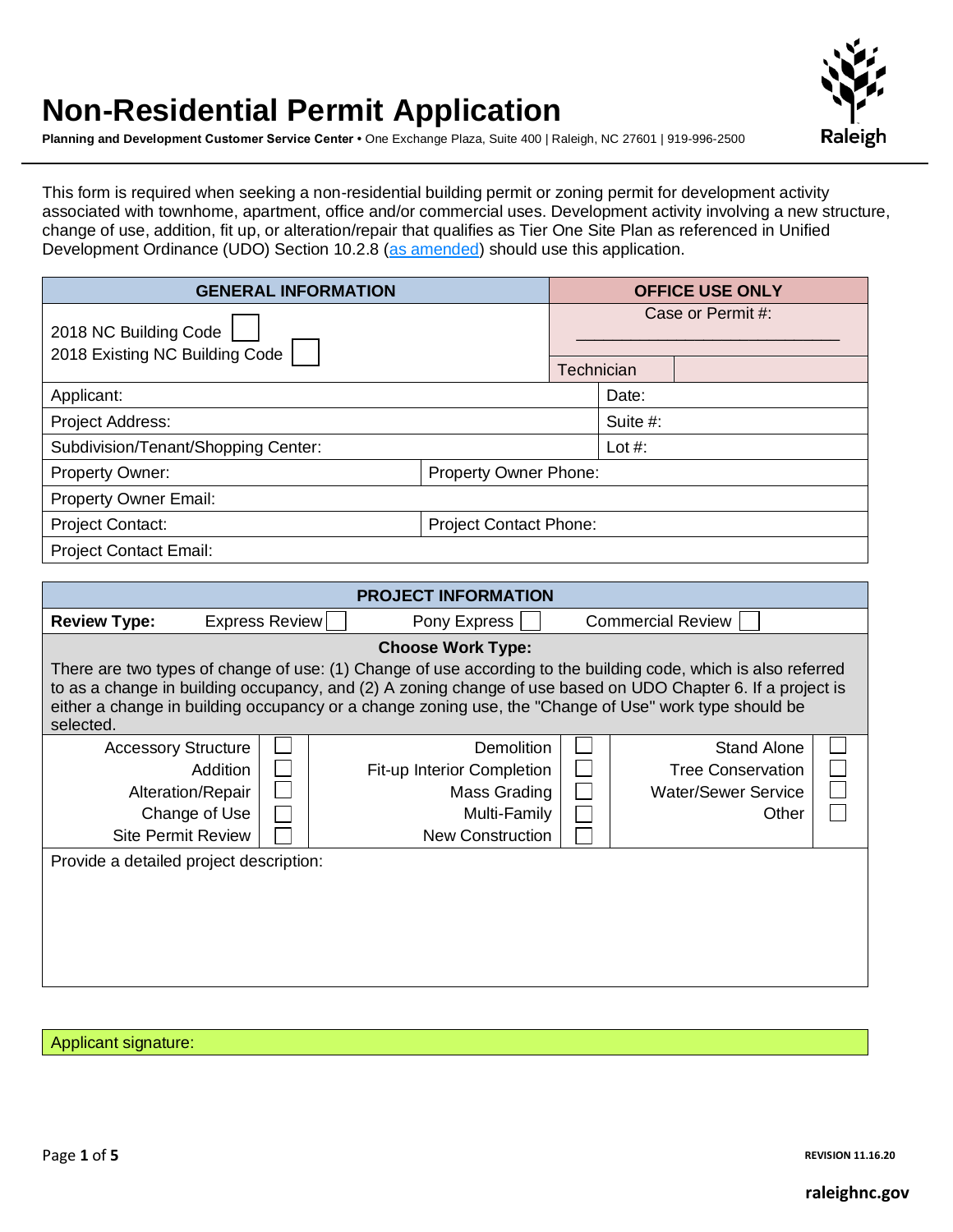# **Non-Residential Permit Application**



**Planning and Development Customer Service Center •** One Exchange Plaza, Suite 400 | Raleigh, NC 27601 | 919-996-2500

This form is required when seeking a non-residential building permit or zoning permit for development activity associated with townhome, apartment, office and/or commercial uses. Development activity involving a new structure, change of use, addition, fit up, or alteration/repair that qualifies as Tier One Site Plan as referenced in Unified Development Ordinance (UDO) Section 10.2.8 [\(as amended\)](https://cityofraleigh0drupal.blob.core.usgovcloudapi.net/drupal-prod/COR22/TC-14-19-ORD.pdf) should use this application.

| <b>GENERAL INFORMATION</b>                               |  |  | <b>OFFICE USE ONLY</b> |  |  |  |
|----------------------------------------------------------|--|--|------------------------|--|--|--|
| 2018 NC Building Code<br>2018 Existing NC Building Code  |  |  | Case or Permit #:      |  |  |  |
|                                                          |  |  | Technician             |  |  |  |
| Applicant:                                               |  |  | Date:                  |  |  |  |
| Project Address:                                         |  |  | Suite #:               |  |  |  |
| Subdivision/Tenant/Shopping Center:                      |  |  | Lot $#$ :              |  |  |  |
| Property Owner:<br><b>Property Owner Phone:</b>          |  |  |                        |  |  |  |
| <b>Property Owner Email:</b>                             |  |  |                        |  |  |  |
| <b>Project Contact:</b><br><b>Project Contact Phone:</b> |  |  |                        |  |  |  |
| <b>Project Contact Email:</b>                            |  |  |                        |  |  |  |

| <b>PROJECT INFORMATION</b>                                                                                                                                                                                                                                                                                                                           |  |  |  |  |  |  |  |
|------------------------------------------------------------------------------------------------------------------------------------------------------------------------------------------------------------------------------------------------------------------------------------------------------------------------------------------------------|--|--|--|--|--|--|--|
| Express Review<br><b>Commercial Review</b><br><b>Review Type:</b><br>Pony Express                                                                                                                                                                                                                                                                    |  |  |  |  |  |  |  |
| <b>Choose Work Type:</b>                                                                                                                                                                                                                                                                                                                             |  |  |  |  |  |  |  |
| There are two types of change of use: (1) Change of use according to the building code, which is also referred<br>to as a change in building occupancy, and (2) A zoning change of use based on UDO Chapter 6. If a project is<br>either a change in building occupancy or a change zoning use, the "Change of Use" work type should be<br>selected. |  |  |  |  |  |  |  |
| <b>Stand Alone</b><br><b>Accessory Structure</b><br>Demolition<br><b>Addition</b><br><b>Tree Conservation</b><br><b>Fit-up Interior Completion</b><br>Alteration/Repair<br><b>Water/Sewer Service</b><br>Mass Grading<br>Change of Use<br>Multi-Family<br>Other<br><b>New Construction</b><br><b>Site Permit Review</b>                              |  |  |  |  |  |  |  |
| Provide a detailed project description:                                                                                                                                                                                                                                                                                                              |  |  |  |  |  |  |  |

Applicant signature:

Page **1** of **5 REVISION 11.16.20**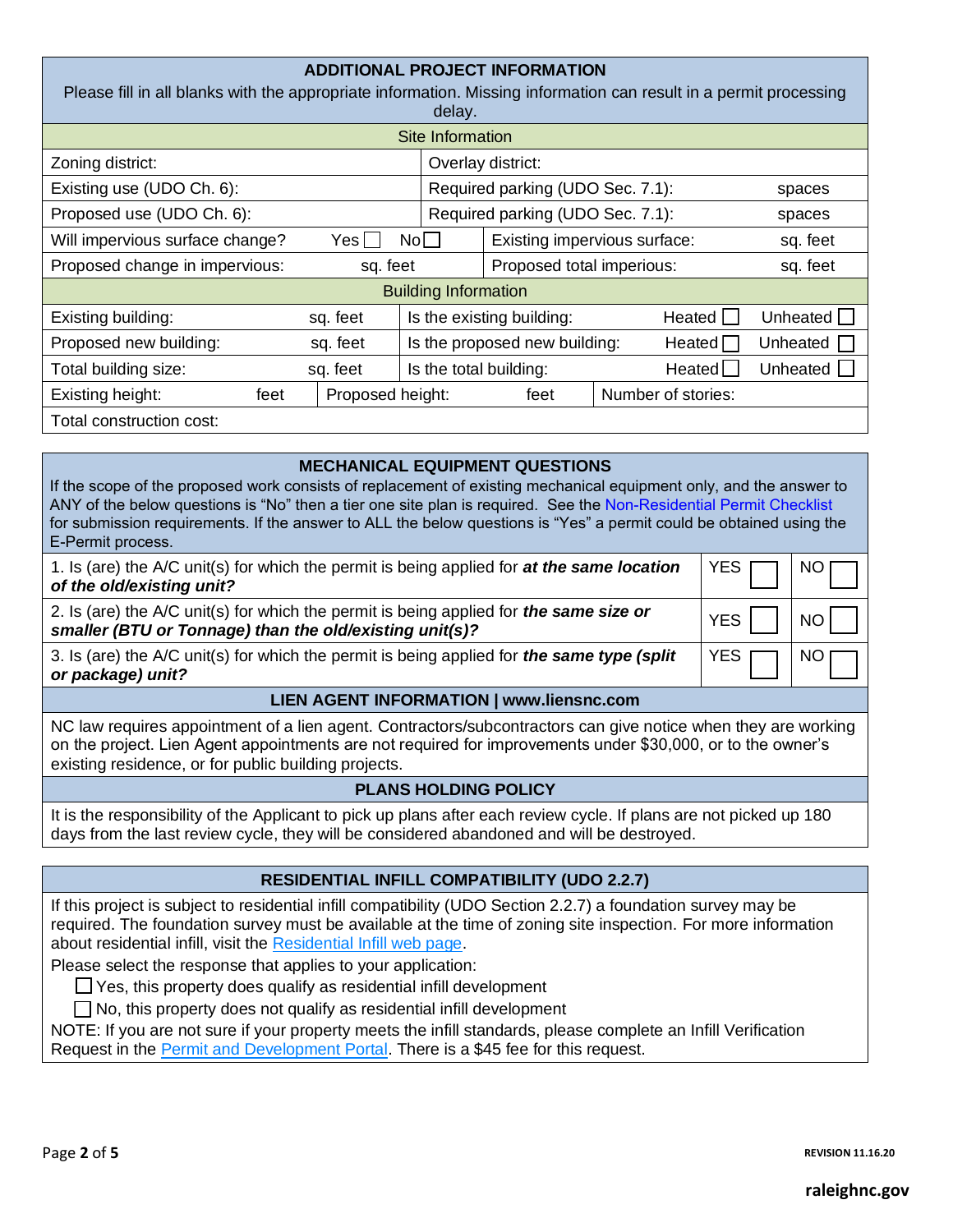| <b>ADDITIONAL PROJECT INFORMATION</b><br>Please fill in all blanks with the appropriate information. Missing information can result in a permit processing<br>delay. |                                  |                           |                                         |                    |                 |  |  |
|----------------------------------------------------------------------------------------------------------------------------------------------------------------------|----------------------------------|---------------------------|-----------------------------------------|--------------------|-----------------|--|--|
|                                                                                                                                                                      |                                  | Site Information          |                                         |                    |                 |  |  |
| Zoning district:                                                                                                                                                     | Overlay district:                |                           |                                         |                    |                 |  |  |
| Existing use (UDO Ch. 6):<br>Required parking (UDO Sec. 7.1):                                                                                                        |                                  |                           |                                         |                    | spaces          |  |  |
| Proposed use (UDO Ch. 6):                                                                                                                                            | Required parking (UDO Sec. 7.1): |                           |                                         |                    |                 |  |  |
| Will impervious surface change?<br>Existing impervious surface:<br>Yesl<br>$\mathsf{No}\Box$                                                                         |                                  |                           |                                         | sq. feet           |                 |  |  |
| Proposed change in impervious:                                                                                                                                       | sq. feet                         | Proposed total imperious: | sq. feet                                |                    |                 |  |  |
| <b>Building Information</b>                                                                                                                                          |                                  |                           |                                         |                    |                 |  |  |
| Existing building:<br>sq. feet                                                                                                                                       |                                  |                           | Is the existing building:<br>Heated     |                    | Unheated        |  |  |
| Proposed new building:<br>sq. feet                                                                                                                                   |                                  |                           | Is the proposed new building:<br>Heated |                    |                 |  |  |
| Total building size:                                                                                                                                                 | sq. feet                         | Is the total building:    |                                         | Heated             | Unheated $\Box$ |  |  |
| Existing height:<br>feet                                                                                                                                             | Proposed height:                 |                           | feet                                    | Number of stories: |                 |  |  |
| Total construction cost:                                                                                                                                             |                                  |                           |                                         |                    |                 |  |  |

## **MECHANICAL EQUIPMENT QUESTIONS**

If the scope of the proposed work consists of replacement of existing mechanical equipment only, and the answer to ANY of the below questions is "No" then a tier one site plan is required. See the [Non-Residential Permit Checklist](https://cityofraleigh0drupal.blob.core.usgovcloudapi.net/drupal-prod/COR15/NonResPermitChecklist.pdf) for submission requirements. If the answer to ALL the below questions is "Yes" a permit could be obtained using the E-Permit process.

| smaller (BTU or Tonnage) than the old/existing unit(s)?<br>3. Is (are) the A/C unit(s) for which the permit is being applied for the same type (split<br>or package) unit? | YES   |      |
|----------------------------------------------------------------------------------------------------------------------------------------------------------------------------|-------|------|
| 2. Is (are) the A/C unit(s) for which the permit is being applied for the same size or                                                                                     | YES I | NO L |
| 1. Is (are) the A/C unit(s) for which the permit is being applied for at the same location<br>of the old/existing unit?                                                    | YES   |      |

### **LIEN AGENT INFORMATION | www.liensnc.com**

NC law requires appointment of a lien agent. Contractors/subcontractors can give notice when they are working on the project. Lien Agent appointments are not required for improvements under \$30,000, or to the owner's existing residence, or for public building projects.

### **PLANS HOLDING POLICY**

It is the responsibility of the Applicant to pick up plans after each review cycle. If plans are not picked up 180 days from the last review cycle, they will be considered abandoned and will be destroyed.

### **RESIDENTIAL INFILL COMPATIBILITY (UDO 2.2.7)**

If this project is subject to residential infill compatibility (UDO Section 2.2.7) a foundation survey may be required. The foundation survey must be available at the time of zoning site inspection. For more information about residential infill, visit the [Residential Infill web page.](http://www.raleighnc.gov/business/content/PlanDev/Articles/DevServ/ResidentialInfillDevelopment.html)

Please select the response that applies to your application:

 $\Box$  Yes, this property does qualify as residential infill development

□ No, this property does not qualify as residential infill development

NOTE: If you are not sure if your property meets the infill standards, please complete an Infill Verification Request in the **Permit and Development Portal**. There is a \$45 fee for this request.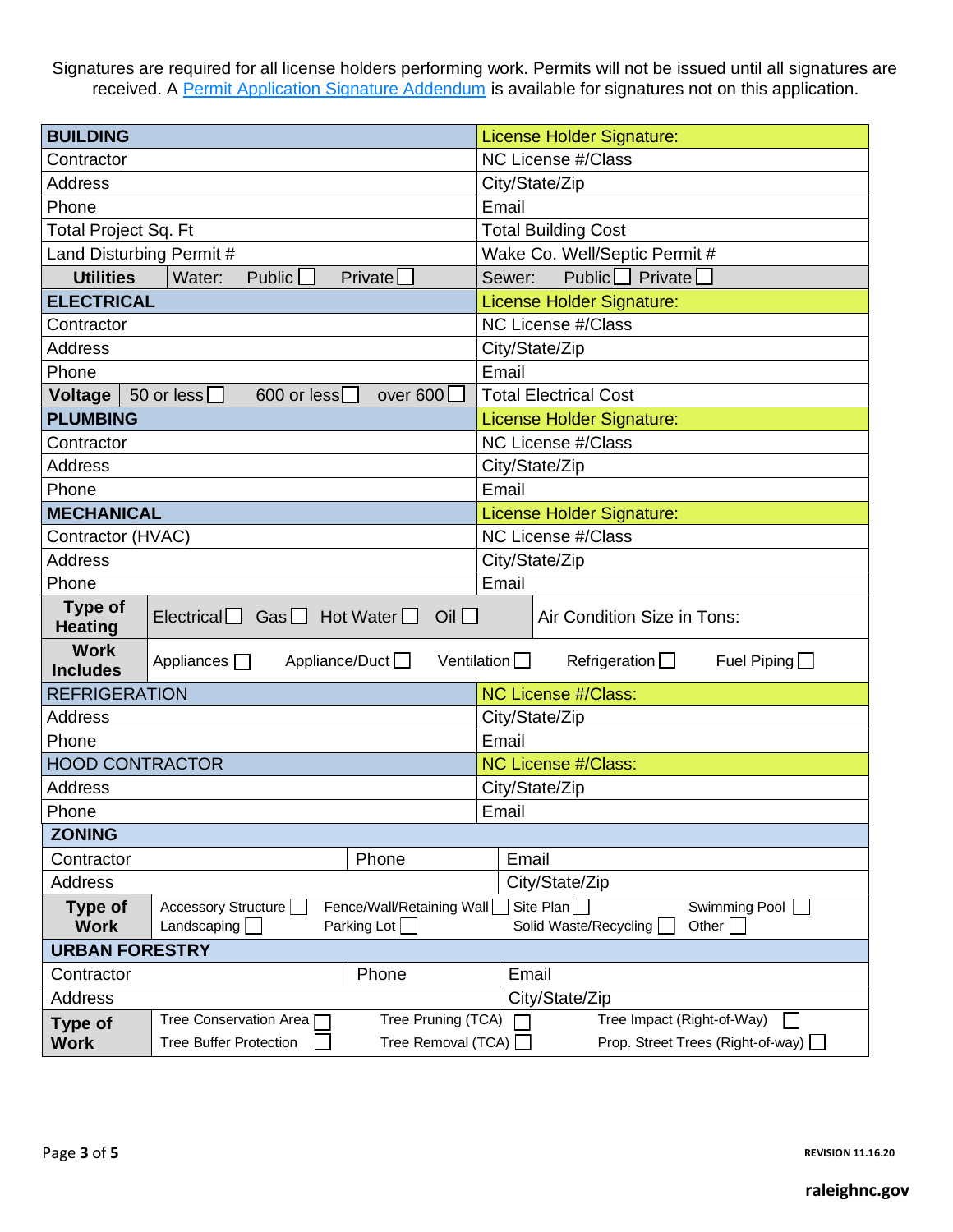Signatures are required for all license holders performing work. Permits will not be issued until all signatures are received. A [Permit Application Signature Addendum](http://www.raleighnc.gov/content/PlanDev/Documents/DevServ/Forms/PermitAppSignatureAddendum.pdf) is available for signatures not on this application.

| <b>BUILDING</b>                                                                                                                                                                 |                                                          | <b>License Holder Signature:</b>       |  |  |
|---------------------------------------------------------------------------------------------------------------------------------------------------------------------------------|----------------------------------------------------------|----------------------------------------|--|--|
| Contractor                                                                                                                                                                      |                                                          | <b>NC License #/Class</b>              |  |  |
| <b>Address</b>                                                                                                                                                                  |                                                          | City/State/Zip                         |  |  |
| Phone                                                                                                                                                                           |                                                          | Email                                  |  |  |
| Total Project Sq. Ft                                                                                                                                                            |                                                          | <b>Total Building Cost</b>             |  |  |
| Land Disturbing Permit #                                                                                                                                                        |                                                          | Wake Co. Well/Septic Permit #          |  |  |
| <b>Utilities</b>                                                                                                                                                                | Private[<br>Water:<br>Public $\Box$                      | Public $\Box$ Private $\Box$<br>Sewer: |  |  |
| <b>ELECTRICAL</b>                                                                                                                                                               |                                                          | License Holder Signature:              |  |  |
| Contractor                                                                                                                                                                      |                                                          | <b>NC License #/Class</b>              |  |  |
| <b>Address</b>                                                                                                                                                                  |                                                          | City/State/Zip                         |  |  |
| Phone                                                                                                                                                                           |                                                          | Email                                  |  |  |
| Voltage                                                                                                                                                                         | 600 or less<br>over $600$<br>50 or less $\Box$           | <b>Total Electrical Cost</b>           |  |  |
| <b>PLUMBING</b>                                                                                                                                                                 |                                                          | <b>License Holder Signature:</b>       |  |  |
| Contractor                                                                                                                                                                      |                                                          | <b>NC License #/Class</b>              |  |  |
| <b>Address</b>                                                                                                                                                                  |                                                          | City/State/Zip                         |  |  |
| Phone                                                                                                                                                                           |                                                          | Email                                  |  |  |
| <b>MECHANICAL</b>                                                                                                                                                               |                                                          | License Holder Signature:              |  |  |
| Contractor (HVAC)                                                                                                                                                               |                                                          | <b>NC License #/Class</b>              |  |  |
| <b>Address</b>                                                                                                                                                                  |                                                          | City/State/Zip                         |  |  |
| Phone                                                                                                                                                                           |                                                          | Email                                  |  |  |
| <b>Type of</b><br><b>Heating</b>                                                                                                                                                | Electrical $\Box$ Gas $\Box$ Hot Water $\Box$ Oil $\Box$ | Air Condition Size in Tons:            |  |  |
| <b>Work</b><br>Appliance/Duct □<br>Ventilation $\Box$<br>Refrigeration $\Box$<br>Fuel Piping $\Box$<br>Appliances $\Box$<br><b>Includes</b>                                     |                                                          |                                        |  |  |
| <b>REFRIGERATION</b>                                                                                                                                                            |                                                          | <b>NC License #/Class:</b>             |  |  |
| <b>Address</b>                                                                                                                                                                  |                                                          | City/State/Zip                         |  |  |
| Phone                                                                                                                                                                           |                                                          | Email                                  |  |  |
| <b>HOOD CONTRACTOR</b>                                                                                                                                                          |                                                          | <b>NC License #/Class:</b>             |  |  |
| <b>Address</b>                                                                                                                                                                  |                                                          | City/State/Zip                         |  |  |
| Phone                                                                                                                                                                           |                                                          | Email                                  |  |  |
| <b>ZONING</b>                                                                                                                                                                   |                                                          |                                        |  |  |
| Contractor                                                                                                                                                                      | Phone                                                    | Email                                  |  |  |
| <b>Address</b>                                                                                                                                                                  |                                                          | City/State/Zip                         |  |  |
| Site Plan<br>Swimming Pool<br>Accessory Structure<br>Fence/Wall/Retaining Wall<br><b>Type of</b><br>Parking Lot<br><b>Work</b><br>Landscaping<br>Solid Waste/Recycling<br>Other |                                                          |                                        |  |  |
| <b>URBAN FORESTRY</b>                                                                                                                                                           |                                                          |                                        |  |  |
| Contractor                                                                                                                                                                      | Phone                                                    | Email                                  |  |  |
| Address                                                                                                                                                                         |                                                          | City/State/Zip                         |  |  |
| <b>Type of</b>                                                                                                                                                                  | Tree Pruning (TCA)<br>Tree Impact (Right-of-Way)         |                                        |  |  |
| <b>Work</b>                                                                                                                                                                     | <b>Tree Buffer Protection</b><br>Tree Removal (TCA) [    | Prop. Street Trees (Right-of-way)      |  |  |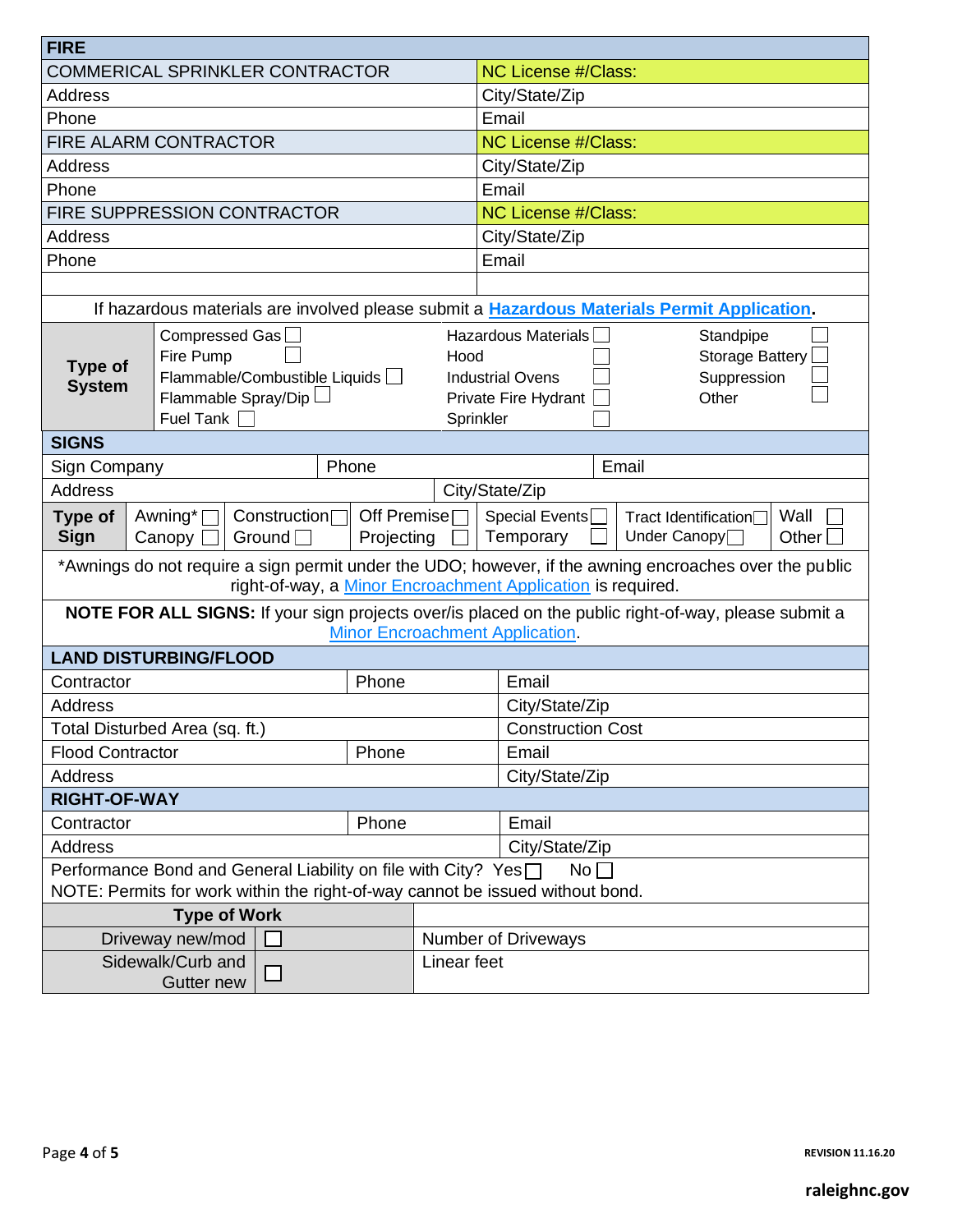| <b>FIRE</b>                                                                                                                                                                                                                  |                                                                                                  |       |                                                                                                                                                                   |                                                                                                                                         |  |  |  |
|------------------------------------------------------------------------------------------------------------------------------------------------------------------------------------------------------------------------------|--------------------------------------------------------------------------------------------------|-------|-------------------------------------------------------------------------------------------------------------------------------------------------------------------|-----------------------------------------------------------------------------------------------------------------------------------------|--|--|--|
| <b>COMMERICAL SPRINKLER CONTRACTOR</b>                                                                                                                                                                                       |                                                                                                  |       | <b>NC License #/Class:</b>                                                                                                                                        |                                                                                                                                         |  |  |  |
| <b>Address</b>                                                                                                                                                                                                               |                                                                                                  |       |                                                                                                                                                                   | City/State/Zip                                                                                                                          |  |  |  |
| Phone                                                                                                                                                                                                                        |                                                                                                  |       |                                                                                                                                                                   | Email                                                                                                                                   |  |  |  |
|                                                                                                                                                                                                                              | <b>FIRE ALARM CONTRACTOR</b>                                                                     |       |                                                                                                                                                                   | <b>NC License #/Class:</b>                                                                                                              |  |  |  |
| <b>Address</b>                                                                                                                                                                                                               |                                                                                                  |       |                                                                                                                                                                   | City/State/Zip                                                                                                                          |  |  |  |
| Phone                                                                                                                                                                                                                        |                                                                                                  |       |                                                                                                                                                                   | Email                                                                                                                                   |  |  |  |
|                                                                                                                                                                                                                              | FIRE SUPPRESSION CONTRACTOR                                                                      |       |                                                                                                                                                                   | <b>NC License #/Class:</b>                                                                                                              |  |  |  |
| <b>Address</b>                                                                                                                                                                                                               |                                                                                                  |       |                                                                                                                                                                   | City/State/Zip                                                                                                                          |  |  |  |
| Phone                                                                                                                                                                                                                        |                                                                                                  |       |                                                                                                                                                                   | Email                                                                                                                                   |  |  |  |
|                                                                                                                                                                                                                              |                                                                                                  |       |                                                                                                                                                                   |                                                                                                                                         |  |  |  |
|                                                                                                                                                                                                                              |                                                                                                  |       |                                                                                                                                                                   | If hazardous materials are involved please submit a Hazardous Materials Permit Application.                                             |  |  |  |
| <b>Type of</b><br><b>System</b>                                                                                                                                                                                              | Compressed Gas<br>Fire Pump<br>Flammable/Combustible Liquids<br>Flammable Spray/Dip<br>Fuel Tank |       | <b>Hazardous Materials</b><br>Standpipe<br><b>Storage Battery</b><br>Hood<br>Suppression<br><b>Industrial Ovens</b><br>Private Fire Hydrant<br>Other<br>Sprinkler |                                                                                                                                         |  |  |  |
| <b>SIGNS</b>                                                                                                                                                                                                                 |                                                                                                  |       |                                                                                                                                                                   |                                                                                                                                         |  |  |  |
| Sign Company                                                                                                                                                                                                                 |                                                                                                  | Phone |                                                                                                                                                                   | Email                                                                                                                                   |  |  |  |
| <b>Address</b>                                                                                                                                                                                                               |                                                                                                  |       | City/State/Zip                                                                                                                                                    |                                                                                                                                         |  |  |  |
| Awning*<br>Construction□<br>Off Premise<br>Special Events <sup></sup><br>Wall<br>Type of<br>Tract Identification□<br>Sign<br>Temporary<br>Under Canopy <sup>1</sup><br>Canopy<br>Ground $\Box$<br>Projecting<br>Other $\Box$ |                                                                                                  |       |                                                                                                                                                                   |                                                                                                                                         |  |  |  |
| *Awnings do not require a sign permit under the UDO; however, if the awning encroaches over the public<br>right-of-way, a Minor Encroachment Application is required.                                                        |                                                                                                  |       |                                                                                                                                                                   |                                                                                                                                         |  |  |  |
|                                                                                                                                                                                                                              |                                                                                                  |       |                                                                                                                                                                   | NOTE FOR ALL SIGNS: If your sign projects over/is placed on the public right-of-way, please submit a<br>Minor Encroachment Application. |  |  |  |
|                                                                                                                                                                                                                              | <b>LAND DISTURBING/FLOOD</b>                                                                     |       |                                                                                                                                                                   |                                                                                                                                         |  |  |  |
| Contractor                                                                                                                                                                                                                   |                                                                                                  | Phone |                                                                                                                                                                   | Email                                                                                                                                   |  |  |  |
| Address                                                                                                                                                                                                                      |                                                                                                  |       |                                                                                                                                                                   | City/State/Zip                                                                                                                          |  |  |  |
|                                                                                                                                                                                                                              | Total Disturbed Area (sq. ft.)                                                                   |       |                                                                                                                                                                   | <b>Construction Cost</b>                                                                                                                |  |  |  |
| Phone<br><b>Flood Contractor</b>                                                                                                                                                                                             |                                                                                                  |       | Email                                                                                                                                                             |                                                                                                                                         |  |  |  |
| <b>Address</b>                                                                                                                                                                                                               |                                                                                                  |       |                                                                                                                                                                   | City/State/Zip                                                                                                                          |  |  |  |
| <b>RIGHT-OF-WAY</b>                                                                                                                                                                                                          |                                                                                                  |       |                                                                                                                                                                   |                                                                                                                                         |  |  |  |
| Phone<br>Contractor                                                                                                                                                                                                          |                                                                                                  |       | Email                                                                                                                                                             |                                                                                                                                         |  |  |  |
| <b>Address</b>                                                                                                                                                                                                               |                                                                                                  |       |                                                                                                                                                                   | City/State/Zip                                                                                                                          |  |  |  |
| Performance Bond and General Liability on file with City? Yes□<br>No <sub>1</sub>                                                                                                                                            |                                                                                                  |       |                                                                                                                                                                   |                                                                                                                                         |  |  |  |
| NOTE: Permits for work within the right-of-way cannot be issued without bond.                                                                                                                                                |                                                                                                  |       |                                                                                                                                                                   |                                                                                                                                         |  |  |  |
|                                                                                                                                                                                                                              | <b>Type of Work</b>                                                                              |       |                                                                                                                                                                   |                                                                                                                                         |  |  |  |
|                                                                                                                                                                                                                              | Driveway new/mod                                                                                 |       | <b>Number of Driveways</b>                                                                                                                                        |                                                                                                                                         |  |  |  |
| Sidewalk/Curb and<br>Gutter new                                                                                                                                                                                              |                                                                                                  |       | Linear feet                                                                                                                                                       |                                                                                                                                         |  |  |  |